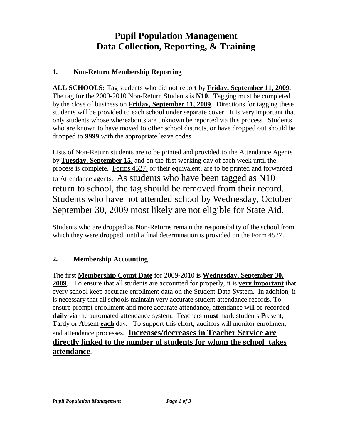# **Pupil Population Management Data Collection, Reporting, & Training**

## **1. Non-Return Membership Reporting**

**ALL SCHOOLS:** Tag students who did not report by **Friday, September 11, 2009**. The tag for the 2009-2010 Non-Return Students is **N10**. Tagging must be completed by the close of business on **Friday, September 11, 2009**. Directions for tagging these students will be provided to each school under separate cover. It is very important that only students whose whereabouts are unknown be reported via this process. Students who are known to have moved to other school districts, or have dropped out should be dropped to **9999** with the appropriate leave codes.

Lists of Non-Return students are to be printed and provided to the Attendance Agents by **Tuesday, September 15**, and on the first working day of each week until the process is complete. Forms 4527, or their equivalent, are to be printed and forwarded to Attendance agents. As students who have been tagged as N10 return to school, the tag should be removed from their record. Students who have not attended school by Wednesday, October September 30, 2009 most likely are not eligible for State Aid.

Students who are dropped as Non-Returns remain the responsibility of the school from which they were dropped, until a final determination is provided on the Form 4527.

# **2. Membership Accounting**

The first **Membership Count Date** for 2009-2010 is **Wednesday, September 30, 2009**. To ensure that all students are accounted for properly, it is **very important** that every school keep accurate enrollment data on the Student Data System. In addition, it is necessary that all schools maintain very accurate student attendance records. To ensure prompt enrollment and more accurate attendance, attendance will be recorded **daily** via the automated attendance system. Teachers **must** mark students **P**resent, **T**ardy or **A**bsent **each** day. To support this effort, auditors will monitor enrollment and attendance processes. **Increases/decreases in Teacher Service are directly linked to the number of students for whom the school takes attendance**.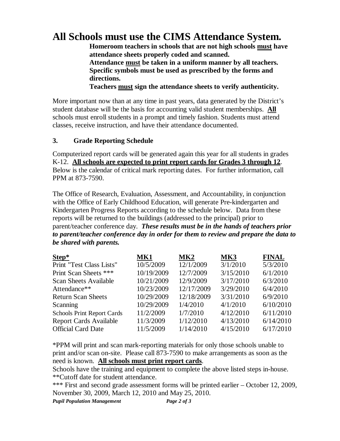# **All Schools must use the CIMS Attendance System.**

**Homeroom teachers in schools that are not high schools must have attendance sheets properly coded and scanned. Attendance must be taken in a uniform manner by all teachers. Specific symbols must be used as prescribed by the forms and directions.**

**Teachers must sign the attendance sheets to verify authenticity.**

More important now than at any time in past years, data generated by the District's student database will be the basis for accounting valid student memberships. **All** schools must enroll students in a prompt and timely fashion. Students must attend classes, receive instruction, and have their attendance documented.

#### **3. Grade Reporting Schedule**

Computerized report cards will be generated again this year for all students in grades K-12. **All schools are expected to print report cards for Grades 3 through 12**. Below is the calendar of critical mark reporting dates. For further information, call PPM at 873-7590.

The Office of Research, Evaluation, Assessment, and Accountability, in conjunction with the Office of Early Childhood Education, will generate Pre-kindergarten and Kindergarten Progress Reports according to the schedule below. Data from these reports will be returned to the buildings (addressed to the principal) prior to parent/teacher conference day. *These results must be in the hands of teachers prior to parent/teacher conference day in order for them to review and prepare the data to be shared with parents.*

| MK1        | MK2        | MK3       | <b>FINAL</b> |
|------------|------------|-----------|--------------|
| 10/5/2009  | 12/1/2009  | 3/1/2010  | 5/3/2010     |
| 10/19/2009 | 12/7/2009  | 3/15/2010 | 6/1/2010     |
| 10/21/2009 | 12/9/2009  | 3/17/2010 | 6/3/2010     |
| 10/23/2009 | 12/17/2009 | 3/29/2010 | 6/4/2010     |
| 10/29/2009 | 12/18/2009 | 3/31/2010 | 6/9/2010     |
| 10/29/2009 | 1/4/2010   | 4/1/2010  | 6/10/2010    |
| 11/2/2009  | 1/7/2010   | 4/12/2010 | 6/11/2010    |
| 11/3/2009  | 1/12/2010  | 4/13/2010 | 6/14/2010    |
| 11/5/2009  | 1/14/2010  | 4/15/2010 | 6/17/2010    |
|            |            |           |              |

\*PPM will print and scan mark-reporting materials for only those schools unable to print and/or scan on-site. Please call 873-7590 to make arrangements as soon as the need is known. **All schools must print report cards**.

Schools have the training and equipment to complete the above listed steps in-house. \*\*Cutoff date for student attendance.

\*\*\* First and second grade assessment forms will be printed earlier – October 12, 2009, November 30, 2009, March 12, 2010 and May 25, 2010.

*Pupil Population Management Page 2 of 3*